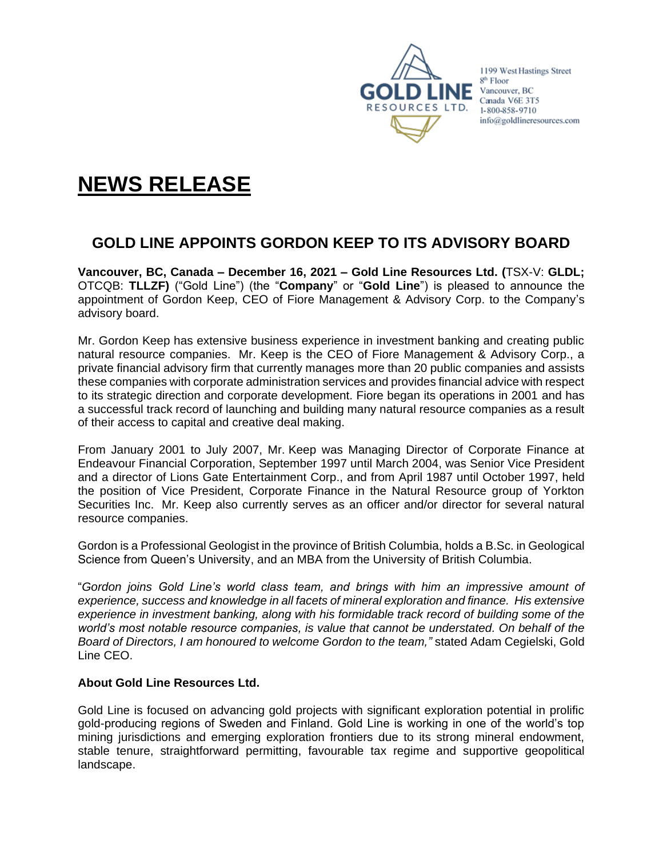

1199 West Hastings Street 8<sup>th</sup> Floor Vancouver, BC Canada V6E 3T5 1-800-858-9710 info@goldlineresources.com

# **NEWS RELEASE**

## **GOLD LINE APPOINTS GORDON KEEP TO ITS ADVISORY BOARD**

**Vancouver, BC, Canada – December 16, 2021 – Gold Line Resources Ltd. (**TSX-V: **GLDL;**  OTCQB: **TLLZF)** ("Gold Line") (the "**Company**" or "**Gold Line**") is pleased to announce the appointment of Gordon Keep, CEO of Fiore Management & Advisory Corp. to the Company's advisory board.

Mr. Gordon Keep has extensive business experience in investment banking and creating public natural resource companies. Mr. Keep is the CEO of Fiore Management & Advisory Corp., a private financial advisory firm that currently manages more than 20 public companies and assists these companies with corporate administration services and provides financial advice with respect to its strategic direction and corporate development. Fiore began its operations in 2001 and has a successful track record of launching and building many natural resource companies as a result of their access to capital and creative deal making.

From January 2001 to July 2007, Mr. Keep was Managing Director of Corporate Finance at Endeavour Financial Corporation, September 1997 until March 2004, was Senior Vice President and a director of Lions Gate Entertainment Corp., and from April 1987 until October 1997, held the position of Vice President, Corporate Finance in the Natural Resource group of Yorkton Securities Inc. Mr. Keep also currently serves as an officer and/or director for several natural resource companies.

Gordon is a Professional Geologist in the province of British Columbia, holds a B.Sc. in Geological Science from Queen's University, and an MBA from the University of British Columbia.

"*Gordon joins Gold Line's world class team, and brings with him an impressive amount of experience, success and knowledge in all facets of mineral exploration and finance. His extensive experience in investment banking, along with his formidable track record of building some of the world's most notable resource companies, is value that cannot be understated. On behalf of the Board of Directors, I am honoured to welcome Gordon to the team,"* stated Adam Cegielski, Gold Line CEO.

### **About Gold Line Resources Ltd.**

Gold Line is focused on advancing gold projects with significant exploration potential in prolific gold-producing regions of Sweden and Finland. Gold Line is working in one of the world's top mining jurisdictions and emerging exploration frontiers due to its strong mineral endowment, stable tenure, straightforward permitting, favourable tax regime and supportive geopolitical landscape.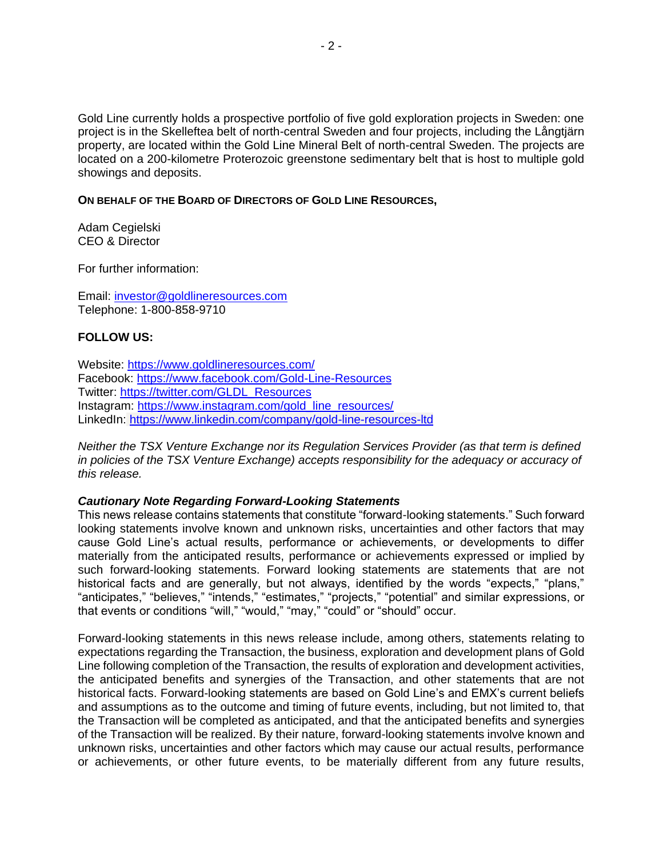Gold Line currently holds a prospective portfolio of five gold exploration projects in Sweden: one project is in the Skelleftea belt of north-central Sweden and four projects, including the Långtjärn property, are located within the Gold Line Mineral Belt of north-central Sweden. The projects are located on a 200-kilometre Proterozoic greenstone sedimentary belt that is host to multiple gold showings and deposits.

#### **ON BEHALF OF THE BOARD OF DIRECTORS OF GOLD LINE RESOURCES,**

Adam Cegielski CEO & Director

For further information:

Email: [investor@goldlineresources.com](mailto:investor@goldlineresources.com) Telephone: 1-800-858-9710

#### **FOLLOW US:**

Website:<https://www.goldlineresources.com/> Facebook:<https://www.facebook.com/Gold-Line-Resources> Twitter: [https://twitter.com/GLDL\\_Resources](https://twitter.com/GLDL_Resources) Instagram: [https://www.instagram.com/gold\\_line\\_resources/](https://www.instagram.com/gold_line_resources/) LinkedIn: <https://www.linkedin.com/company/gold-line-resources-ltd>

*Neither the TSX Venture Exchange nor its Regulation Services Provider (as that term is defined in policies of the TSX Venture Exchange) accepts responsibility for the adequacy or accuracy of this release.*

#### *Cautionary Note Regarding Forward-Looking Statements*

This news release contains statements that constitute "forward-looking statements." Such forward looking statements involve known and unknown risks, uncertainties and other factors that may cause Gold Line's actual results, performance or achievements, or developments to differ materially from the anticipated results, performance or achievements expressed or implied by such forward-looking statements. Forward looking statements are statements that are not historical facts and are generally, but not always, identified by the words "expects," "plans," "anticipates," "believes," "intends," "estimates," "projects," "potential" and similar expressions, or that events or conditions "will," "would," "may," "could" or "should" occur.

Forward-looking statements in this news release include, among others, statements relating to expectations regarding the Transaction, the business, exploration and development plans of Gold Line following completion of the Transaction, the results of exploration and development activities, the anticipated benefits and synergies of the Transaction, and other statements that are not historical facts. Forward-looking statements are based on Gold Line's and EMX's current beliefs and assumptions as to the outcome and timing of future events, including, but not limited to, that the Transaction will be completed as anticipated, and that the anticipated benefits and synergies of the Transaction will be realized. By their nature, forward-looking statements involve known and unknown risks, uncertainties and other factors which may cause our actual results, performance or achievements, or other future events, to be materially different from any future results,